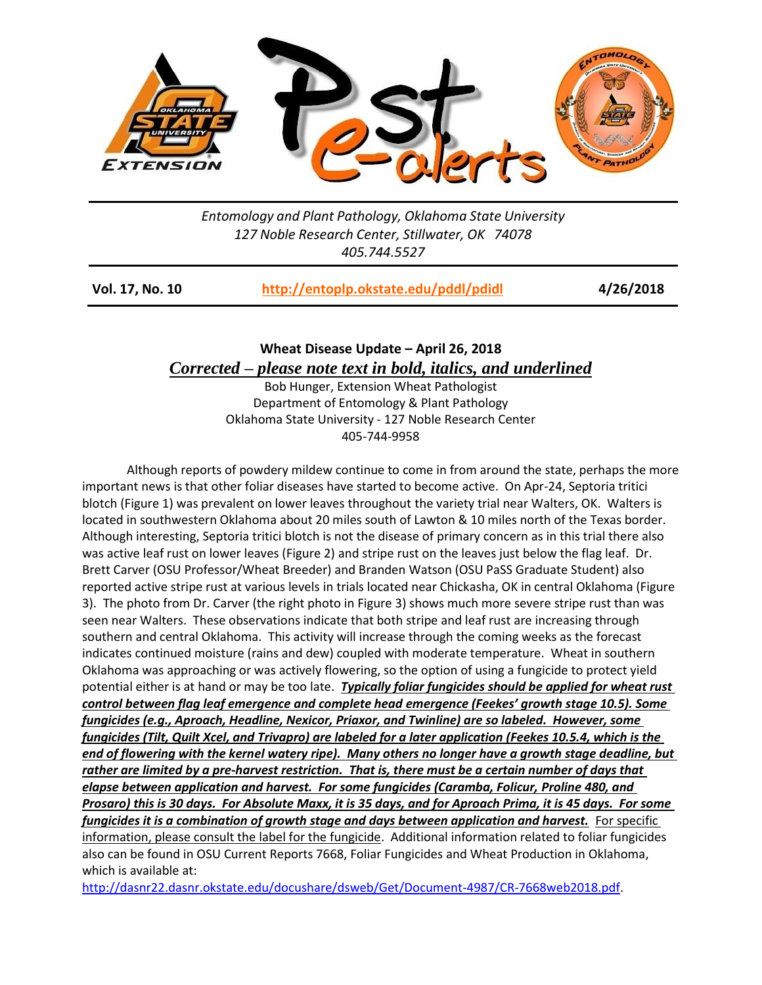

*Entomology and Plant Pathology, Oklahoma State University 127 Noble Research Center, Stillwater, OK 74078 405.744.5527*

| <b>Vol. 17, No. 10</b> | http://entoplp.okstate.edu/pddl/pdidl | 4/26/2018 |
|------------------------|---------------------------------------|-----------|
|------------------------|---------------------------------------|-----------|

## **Wheat Disease Update – April 26, 2018** *Corrected – please note text in bold, italics, and underlined*

Bob Hunger, Extension Wheat Pathologist Department of Entomology & Plant Pathology Oklahoma State University - 127 Noble Research Center 405-744-9958

Although reports of powdery mildew continue to come in from around the state, perhaps the more important news is that other foliar diseases have started to become active. On Apr-24, Septoria tritici blotch (Figure 1) was prevalent on lower leaves throughout the variety trial near Walters, OK. Walters is located in southwestern Oklahoma about 20 miles south of Lawton & 10 miles north of the Texas border. Although interesting, Septoria tritici blotch is not the disease of primary concern as in this trial there also was active leaf rust on lower leaves (Figure 2) and stripe rust on the leaves just below the flag leaf. Dr. Brett Carver (OSU Professor/Wheat Breeder) and Branden Watson (OSU PaSS Graduate Student) also reported active stripe rust at various levels in trials located near Chickasha, OK in central Oklahoma (Figure 3). The photo from Dr. Carver (the right photo in Figure 3) shows much more severe stripe rust than was seen near Walters. These observations indicate that both stripe and leaf rust are increasing through southern and central Oklahoma. This activity will increase through the coming weeks as the forecast indicates continued moisture (rains and dew) coupled with moderate temperature. Wheat in southern Oklahoma was approaching or was actively flowering, so the option of using a fungicide to protect yield potential either is at hand or may be too late. *Typically foliar fungicides should be applied for wheat rust control between flag leaf emergence and complete head emergence (Feekes' growth stage 10.5). Some fungicides (e.g., Aproach, Headline, Nexicor, Priaxor, and Twinline) are so labeled. However, some fungicides (Tilt, Quilt Xcel, and Trivapro) are labeled for a later application (Feekes 10.5.4, which is the end of flowering with the kernel watery ripe). Many others no longer have a growth stage deadline, but rather are limited by a pre-harvest restriction. That is, there must be a certain number of days that elapse between application and harvest. For some fungicides (Caramba, Folicur, Proline 480, and Prosaro) this is 30 days. For Absolute Maxx, it is 35 days, and for Aproach Prima, it is 45 days. For some fungicides it is a combination of growth stage and days between application and harvest.* For specific information, please consult the label for the fungicide. Additional information related to foliar fungicides also can be found in OSU Current Reports 7668, Foliar Fungicides and Wheat Production in Oklahoma, which is available at:

[http://dasnr22.dasnr.okstate.edu/docushare/dsweb/Get/Document-4987/CR-7668web2018.pdf.](http://dasnr22.dasnr.okstate.edu/docushare/dsweb/Get/Document-4987/CR-7668web2018.pdf)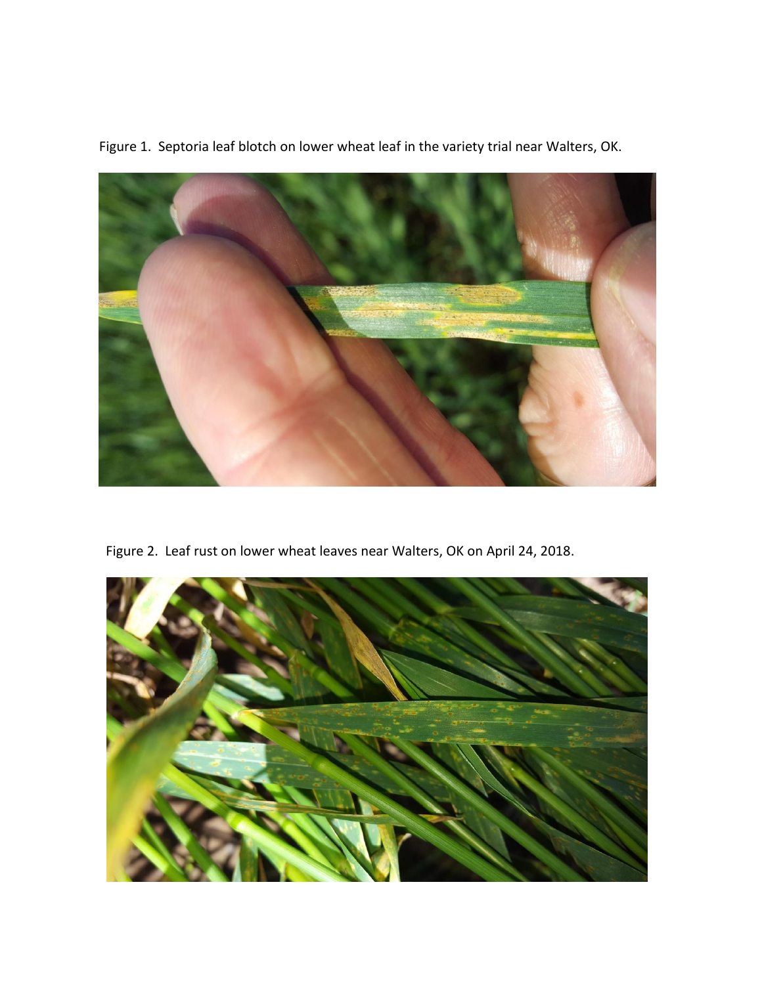

Figure 1. Septoria leaf blotch on lower wheat leaf in the variety trial near Walters, OK.

Figure 2. Leaf rust on lower wheat leaves near Walters, OK on April 24, 2018.